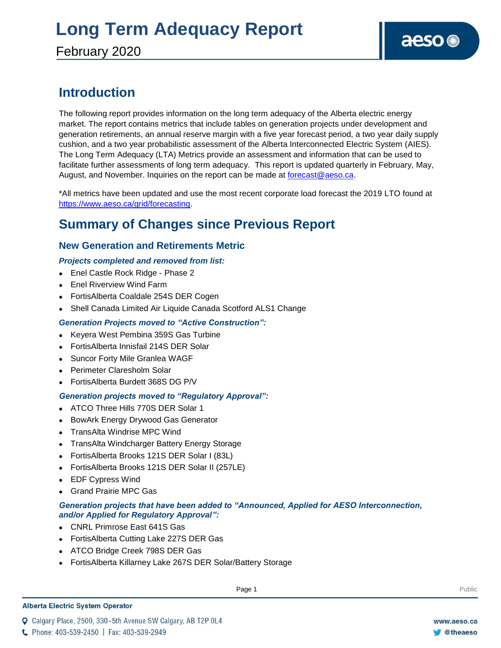### **Introduction**

The following report provides information on the long term adequacy of the Alberta electric energy market. The report contains metrics that include tables on generation projects under development and generation retirements, an annual reserve margin with a five year forecast period, a two year daily supply cushion, and a two year probabilistic assessment of the Alberta Interconnected Electric System (AIES). The Long Term Adequacy (LTA) Metrics provide an assessment and information that can be used to facilitate further assessments of long term adequacy. This report is updated quarterly in February, May, August, and November. Inquiries on the report can be made at [forecast@aeso.ca.](mailto:forecast@aeso.ca)

\*All metrics have been updated and use the most recent corporate load forecast the 2019 LTO found at https://www.aeso.ca/grid/forecasting.

### **Summary of Changes since Previous Report**

### **New Generation and Retirements Metric**

### *Projects completed and removed from list:*

- Enel Castle Rock Ridge Phase 2
- Enel Riverview Wind Farm
- FortisAlberta Coaldale 254S DER Cogen
- Shell Canada Limited Air Liquide Canada Scotford ALS1 Change

### *Generation Projects moved to "Active Construction":*

- Keyera West Pembina 359S Gas Turbine
- FortisAlberta Innisfail 214S DER Solar
- Suncor Forty Mile Granlea WAGF
- Perimeter Claresholm Solar
- FortisAlberta Burdett 368S DG P/V

### *Generation projects moved to "Regulatory Approval":*

- ATCO Three Hills 770S DER Solar 1
- BowArk Energy Drywood Gas Generator
- TransAlta Windrise MPC Wind
- TransAlta Windcharger Battery Energy Storage
- FortisAlberta Brooks 121S DER Solar I (83L)
- FortisAlberta Brooks 121S DER Solar II (257LE)
- EDF Cypress Wind
- Grand Prairie MPC Gas

### *Generation projects that have been added to "Announced, Applied for AESO Interconnection, and/or Applied for Regulatory Approval":*

- CNRL Primrose East 641S Gas
- FortisAlberta Cutting Lake 227S DER Gas
- ATCO Bridge Creek 798S DER Gas
- FortisAlberta Killarney Lake 267S DER Solar/Battery Storage

#### **Alberta Electric System Operator**

Q Calgary Place, 2500, 330-5th Avenue SW Calgary, AB T2P 0L4

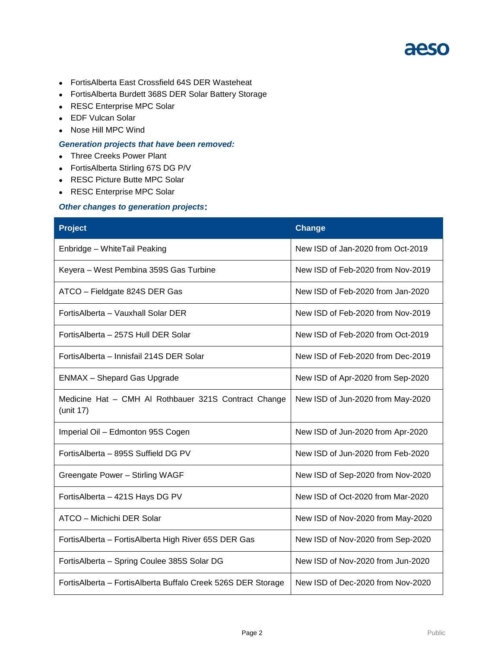- FortisAlberta East Crossfield 64S DER Wasteheat
- FortisAlberta Burdett 368S DER Solar Battery Storage
- RESC Enterprise MPC Solar
- EDF Vulcan Solar
- Nose Hill MPC Wind

#### *Generation projects that have been removed:*

- Three Creeks Power Plant
- FortisAlberta Stirling 67S DG P/V
- RESC Picture Butte MPC Solar
- RESC Enterprise MPC Solar

#### *Other changes to generation projects***:**

| <b>Project</b>                                                    | Change                            |  |  |
|-------------------------------------------------------------------|-----------------------------------|--|--|
| Enbridge - WhiteTail Peaking                                      | New ISD of Jan-2020 from Oct-2019 |  |  |
| Keyera - West Pembina 359S Gas Turbine                            | New ISD of Feb-2020 from Nov-2019 |  |  |
| ATCO - Fieldgate 824S DER Gas                                     | New ISD of Feb-2020 from Jan-2020 |  |  |
| FortisAlberta - Vauxhall Solar DER                                | New ISD of Feb-2020 from Nov-2019 |  |  |
| FortisAlberta - 257S Hull DER Solar                               | New ISD of Feb-2020 from Oct-2019 |  |  |
| FortisAlberta - Innisfail 214S DER Solar                          | New ISD of Feb-2020 from Dec-2019 |  |  |
| <b>ENMAX</b> - Shepard Gas Upgrade                                | New ISD of Apr-2020 from Sep-2020 |  |  |
| Medicine Hat - CMH AI Rothbauer 321S Contract Change<br>(unit 17) | New ISD of Jun-2020 from May-2020 |  |  |
| Imperial Oil - Edmonton 95S Cogen                                 | New ISD of Jun-2020 from Apr-2020 |  |  |
| FortisAlberta - 895S Suffield DG PV                               | New ISD of Jun-2020 from Feb-2020 |  |  |
| Greengate Power - Stirling WAGF                                   | New ISD of Sep-2020 from Nov-2020 |  |  |
| FortisAlberta - 421S Hays DG PV                                   | New ISD of Oct-2020 from Mar-2020 |  |  |
| ATCO - Michichi DER Solar                                         | New ISD of Nov-2020 from May-2020 |  |  |
| FortisAlberta - FortisAlberta High River 65S DER Gas              | New ISD of Nov-2020 from Sep-2020 |  |  |
| FortisAlberta - Spring Coulee 385S Solar DG                       | New ISD of Nov-2020 from Jun-2020 |  |  |
| FortisAlberta - FortisAlberta Buffalo Creek 526S DER Storage      | New ISD of Dec-2020 from Nov-2020 |  |  |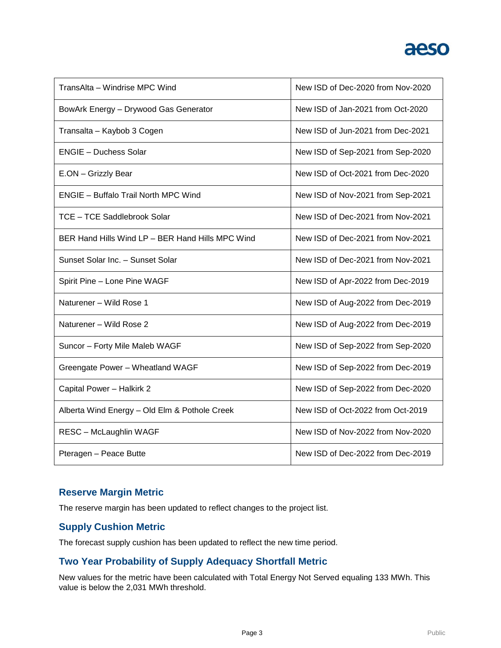| TransAlta - Windrise MPC Wind                    | New ISD of Dec-2020 from Nov-2020 |
|--------------------------------------------------|-----------------------------------|
| BowArk Energy - Drywood Gas Generator            | New ISD of Jan-2021 from Oct-2020 |
| Transalta - Kaybob 3 Cogen                       | New ISD of Jun-2021 from Dec-2021 |
| <b>ENGIE - Duchess Solar</b>                     | New ISD of Sep-2021 from Sep-2020 |
| E.ON - Grizzly Bear                              | New ISD of Oct-2021 from Dec-2020 |
| <b>ENGIE - Buffalo Trail North MPC Wind</b>      | New ISD of Nov-2021 from Sep-2021 |
| TCE - TCE Saddlebrook Solar                      | New ISD of Dec-2021 from Nov-2021 |
| BER Hand Hills Wind LP - BER Hand Hills MPC Wind | New ISD of Dec-2021 from Nov-2021 |
| Sunset Solar Inc. - Sunset Solar                 | New ISD of Dec-2021 from Nov-2021 |
| Spirit Pine - Lone Pine WAGF                     | New ISD of Apr-2022 from Dec-2019 |
| Naturener - Wild Rose 1                          | New ISD of Aug-2022 from Dec-2019 |
| Naturener - Wild Rose 2                          | New ISD of Aug-2022 from Dec-2019 |
| Suncor - Forty Mile Maleb WAGF                   | New ISD of Sep-2022 from Sep-2020 |
| Greengate Power - Wheatland WAGF                 | New ISD of Sep-2022 from Dec-2019 |
| Capital Power - Halkirk 2                        | New ISD of Sep-2022 from Dec-2020 |
| Alberta Wind Energy - Old Elm & Pothole Creek    | New ISD of Oct-2022 from Oct-2019 |
| RESC - McLaughlin WAGF                           | New ISD of Nov-2022 from Nov-2020 |
| Pteragen - Peace Butte                           | New ISD of Dec-2022 from Dec-2019 |

### **Reserve Margin Metric**

The reserve margin has been updated to reflect changes to the project list.

### **Supply Cushion Metric**

The forecast supply cushion has been updated to reflect the new time period.

### **Two Year Probability of Supply Adequacy Shortfall Metric**

New values for the metric have been calculated with Total Energy Not Served equaling 133 MWh. This value is below the 2,031 MWh threshold.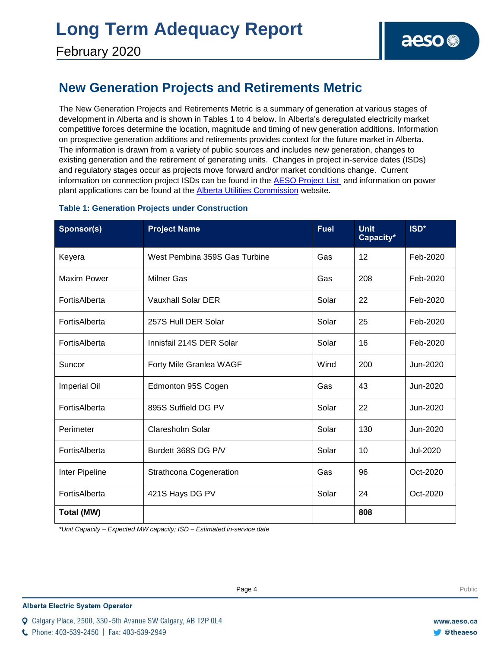### **New Generation Projects and Retirements Metric**

The New Generation Projects and Retirements Metric is a summary of generation at various stages of development in Alberta and is shown in Tables 1 to 4 below. In Alberta's deregulated electricity market competitive forces determine the location, magnitude and timing of new generation additions. Information on prospective generation additions and retirements provides context for the future market in Alberta. The information is drawn from a variety of public sources and includes new generation, changes to existing generation and the retirement of generating units. Changes in project in-service dates (ISDs) and regulatory stages occur as projects move forward and/or market conditions change. Current information on connection project ISDs can be found in the [AESO Project List](https://www.aeso.ca/grid/connecting-to-the-grid/) and information on power plant applications can be found at the **Alberta Utilities Commission** website.

| Sponsor(s)         | <b>Project Name</b>           | <b>Fuel</b> | <b>Unit</b><br>Capacity* | ISD*     |
|--------------------|-------------------------------|-------------|--------------------------|----------|
| Keyera             | West Pembina 359S Gas Turbine | Gas         | 12                       | Feb-2020 |
| <b>Maxim Power</b> | <b>Milner Gas</b>             | Gas         | 208                      | Feb-2020 |
| FortisAlberta      | <b>Vauxhall Solar DER</b>     | Solar       | 22                       | Feb-2020 |
| FortisAlberta      | 257S Hull DER Solar           | Solar       | 25                       | Feb-2020 |
| FortisAlberta      | Innisfail 214S DER Solar      | Solar       | 16                       | Feb-2020 |
| Suncor             | Forty Mile Granlea WAGF       | Wind        | 200                      | Jun-2020 |
| Imperial Oil       | Edmonton 95S Cogen            | Gas         | 43                       | Jun-2020 |
| FortisAlberta      | 895S Suffield DG PV           | Solar       | 22                       | Jun-2020 |
| Perimeter          | <b>Claresholm Solar</b>       | Solar       | 130                      | Jun-2020 |
| FortisAlberta      | Burdett 368S DG P/V           | Solar       | 10                       | Jul-2020 |
| Inter Pipeline     | Strathcona Cogeneration       | Gas         | 96                       | Oct-2020 |
| FortisAlberta      | 421S Hays DG PV               | Solar       | 24                       | Oct-2020 |
| Total (MW)         |                               |             | 808                      |          |

### **Table 1: Generation Projects under Construction**

*\*Unit Capacity – Expected MW capacity; ISD – Estimated in-service date*

#### **Alberta Electric System Operator**

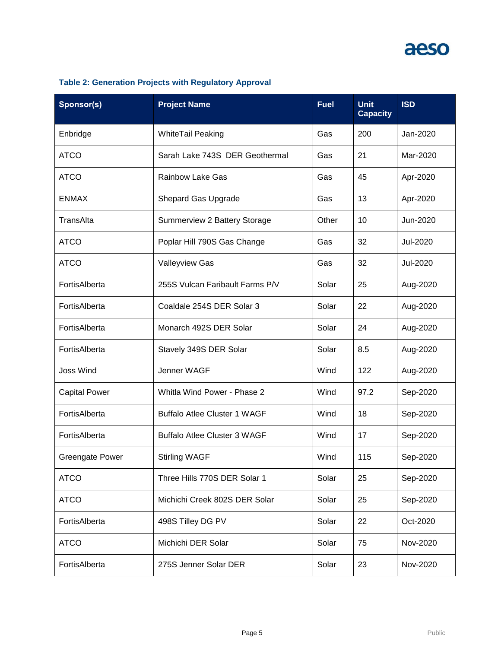| Sponsor(s)             | <b>Project Name</b>                 | <b>Fuel</b> | <b>Unit</b><br><b>Capacity</b> | <b>ISD</b> |
|------------------------|-------------------------------------|-------------|--------------------------------|------------|
| Enbridge               | <b>WhiteTail Peaking</b>            | Gas         | 200                            | Jan-2020   |
| <b>ATCO</b>            | Sarah Lake 743S DER Geothermal      | Gas         | 21                             | Mar-2020   |
| <b>ATCO</b>            | <b>Rainbow Lake Gas</b>             | Gas         | 45                             | Apr-2020   |
| <b>ENMAX</b>           | <b>Shepard Gas Upgrade</b>          | Gas         | 13                             | Apr-2020   |
| TransAlta              | Summerview 2 Battery Storage        | Other       | 10                             | Jun-2020   |
| <b>ATCO</b>            | Poplar Hill 790S Gas Change         | Gas         | 32                             | Jul-2020   |
| <b>ATCO</b>            | <b>Valleyview Gas</b>               | Gas         | 32                             | Jul-2020   |
| FortisAlberta          | 255S Vulcan Faribault Farms P/V     | Solar       | 25                             | Aug-2020   |
| FortisAlberta          | Coaldale 254S DER Solar 3           | Solar       | 22                             | Aug-2020   |
| FortisAlberta          | Monarch 492S DER Solar              | Solar       | 24                             | Aug-2020   |
| FortisAlberta          | Stavely 349S DER Solar              | Solar       | 8.5                            | Aug-2020   |
| <b>Joss Wind</b>       | Jenner WAGF                         | Wind        | 122                            | Aug-2020   |
| <b>Capital Power</b>   | Whitla Wind Power - Phase 2         | Wind        | 97.2                           | Sep-2020   |
| FortisAlberta          | <b>Buffalo Atlee Cluster 1 WAGF</b> | Wind        | 18                             | Sep-2020   |
| FortisAlberta          | <b>Buffalo Atlee Cluster 3 WAGF</b> | Wind        | 17                             | Sep-2020   |
| <b>Greengate Power</b> | <b>Stirling WAGF</b>                | Wind        | 115                            | Sep-2020   |
| <b>ATCO</b>            | Three Hills 770S DER Solar 1        | Solar       | 25                             | Sep-2020   |
| <b>ATCO</b>            | Michichi Creek 802S DER Solar       | Solar       | 25                             | Sep-2020   |
| FortisAlberta          | 498S Tilley DG PV                   | Solar       | 22                             | Oct-2020   |
| <b>ATCO</b>            | Michichi DER Solar                  | Solar       | 75                             | Nov-2020   |
| FortisAlberta          | 275S Jenner Solar DER               | Solar       | 23                             | Nov-2020   |

### **Table 2: Generation Projects with Regulatory Approval**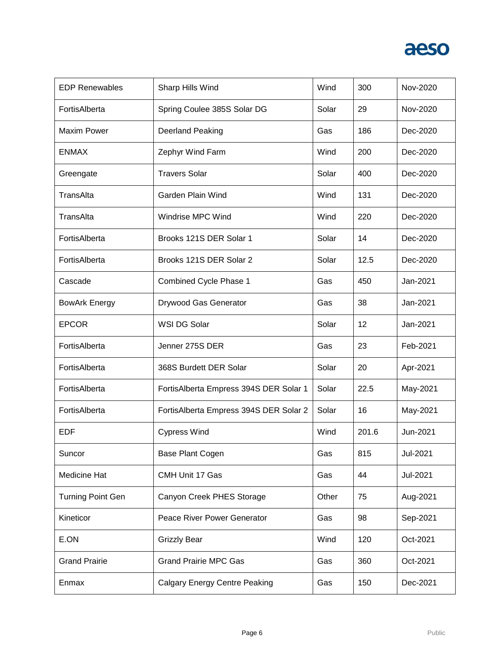

| <b>EDP Renewables</b>    | Sharp Hills Wind                       | Wind  | 300   | Nov-2020 |
|--------------------------|----------------------------------------|-------|-------|----------|
| FortisAlberta            | Spring Coulee 385S Solar DG            | Solar | 29    | Nov-2020 |
| <b>Maxim Power</b>       | <b>Deerland Peaking</b>                | Gas   | 186   | Dec-2020 |
| <b>ENMAX</b>             | Zephyr Wind Farm                       | Wind  | 200   | Dec-2020 |
| Greengate                | <b>Travers Solar</b>                   | Solar | 400   | Dec-2020 |
| TransAlta                | Garden Plain Wind                      | Wind  | 131   | Dec-2020 |
| TransAlta                | Windrise MPC Wind                      | Wind  | 220   | Dec-2020 |
| FortisAlberta            | Brooks 121S DER Solar 1                | Solar | 14    | Dec-2020 |
| FortisAlberta            | Brooks 121S DER Solar 2                | Solar | 12.5  | Dec-2020 |
| Cascade                  | Combined Cycle Phase 1                 | Gas   | 450   | Jan-2021 |
| <b>BowArk Energy</b>     | Drywood Gas Generator                  | Gas   | 38    | Jan-2021 |
| <b>EPCOR</b>             | WSI DG Solar                           | Solar | 12    | Jan-2021 |
| FortisAlberta            | Jenner 275S DER                        | Gas   | 23    | Feb-2021 |
| FortisAlberta            | 368S Burdett DER Solar                 | Solar | 20    | Apr-2021 |
| FortisAlberta            | FortisAlberta Empress 394S DER Solar 1 | Solar | 22.5  | May-2021 |
| FortisAlberta            | FortisAlberta Empress 394S DER Solar 2 | Solar | 16    | May-2021 |
| <b>EDF</b>               | <b>Cypress Wind</b>                    | Wind  | 201.6 | Jun-2021 |
| Suncor                   | Base Plant Cogen                       | Gas   | 815   | Jul-2021 |
| Medicine Hat             | CMH Unit 17 Gas                        | Gas   | 44    | Jul-2021 |
| <b>Turning Point Gen</b> | Canyon Creek PHES Storage              | Other | 75    | Aug-2021 |
| Kineticor                | Peace River Power Generator            | Gas   | 98    | Sep-2021 |
| E.ON                     | <b>Grizzly Bear</b>                    | Wind  | 120   | Oct-2021 |
| <b>Grand Prairie</b>     | <b>Grand Prairie MPC Gas</b>           | Gas   | 360   | Oct-2021 |
| Enmax                    | <b>Calgary Energy Centre Peaking</b>   | Gas   | 150   | Dec-2021 |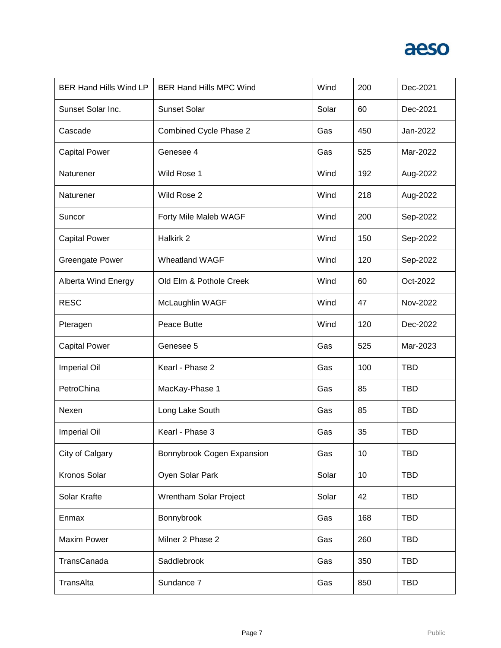

| <b>BER Hand Hills Wind LP</b> | <b>BER Hand Hills MPC Wind</b> | Wind  | 200 | Dec-2021   |
|-------------------------------|--------------------------------|-------|-----|------------|
| Sunset Solar Inc.             | <b>Sunset Solar</b>            | Solar | 60  | Dec-2021   |
| Cascade                       | Combined Cycle Phase 2         | Gas   | 450 | Jan-2022   |
| <b>Capital Power</b>          | Genesee 4                      | Gas   | 525 | Mar-2022   |
| Naturener                     | Wild Rose 1                    | Wind  | 192 | Aug-2022   |
| Naturener                     | Wild Rose 2                    | Wind  | 218 | Aug-2022   |
| Suncor                        | Forty Mile Maleb WAGF          | Wind  | 200 | Sep-2022   |
| <b>Capital Power</b>          | Halkirk 2                      | Wind  | 150 | Sep-2022   |
| <b>Greengate Power</b>        | <b>Wheatland WAGF</b>          | Wind  | 120 | Sep-2022   |
| Alberta Wind Energy           | Old Elm & Pothole Creek        | Wind  | 60  | Oct-2022   |
| <b>RESC</b>                   | McLaughlin WAGF                | Wind  | 47  | Nov-2022   |
| Pteragen                      | Peace Butte                    | Wind  | 120 | Dec-2022   |
| <b>Capital Power</b>          | Genesee 5                      | Gas   | 525 | Mar-2023   |
| Imperial Oil                  | Kearl - Phase 2                | Gas   | 100 | <b>TBD</b> |
| PetroChina                    | MacKay-Phase 1                 | Gas   | 85  | <b>TBD</b> |
| Nexen                         | Long Lake South                | Gas   | 85  | <b>TBD</b> |
| <b>Imperial Oil</b>           | Kearl - Phase 3                | Gas   | 35  | <b>TBD</b> |
| City of Calgary               | Bonnybrook Cogen Expansion     | Gas   | 10  | <b>TBD</b> |
| Kronos Solar                  | Oyen Solar Park                | Solar | 10  | <b>TBD</b> |
| Solar Krafte                  | Wrentham Solar Project         | Solar | 42  | <b>TBD</b> |
| Enmax                         | Bonnybrook                     | Gas   | 168 | <b>TBD</b> |
| <b>Maxim Power</b>            | Milner 2 Phase 2               | Gas   | 260 | <b>TBD</b> |
| TransCanada                   | Saddlebrook                    | Gas   | 350 | <b>TBD</b> |
| TransAlta                     | Sundance 7                     | Gas   | 850 | <b>TBD</b> |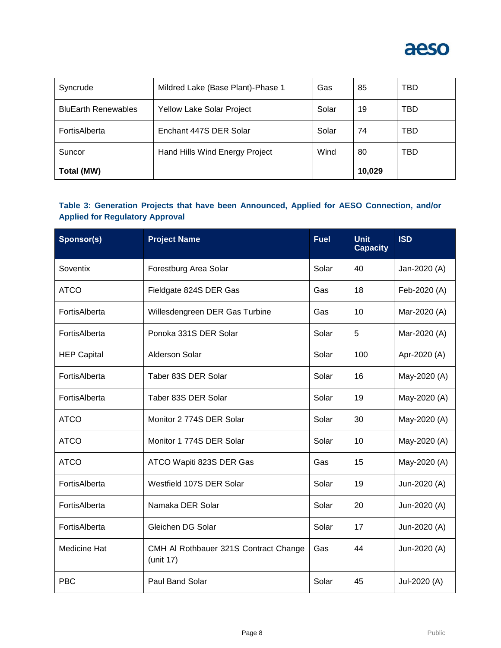

| Syncrude                   | Mildred Lake (Base Plant)-Phase 1 | Gas   | 85     | TBD |
|----------------------------|-----------------------------------|-------|--------|-----|
| <b>BluEarth Renewables</b> | <b>Yellow Lake Solar Project</b>  | Solar | 19     | TBD |
| FortisAlberta              | Enchant 447S DER Solar            | Solar | 74     | TBD |
| Suncor                     | Hand Hills Wind Energy Project    | Wind  | 80     | TBD |
| Total (MW)                 |                                   |       | 10,029 |     |

### **Table 3: Generation Projects that have been Announced, Applied for AESO Connection, and/or Applied for Regulatory Approval**

| Sponsor(s)         | <b>Project Name</b>                                | <b>Fuel</b> | <b>Unit</b><br><b>Capacity</b> | <b>ISD</b>   |
|--------------------|----------------------------------------------------|-------------|--------------------------------|--------------|
| Soventix           | Forestburg Area Solar                              | Solar       | 40                             | Jan-2020 (A) |
| <b>ATCO</b>        | Fieldgate 824S DER Gas                             | Gas         | 18                             | Feb-2020 (A) |
| FortisAlberta      | Willesdengreen DER Gas Turbine                     | Gas         | 10                             | Mar-2020 (A) |
| FortisAlberta      | Ponoka 331S DER Solar                              | Solar       | 5                              | Mar-2020 (A) |
| <b>HEP Capital</b> | <b>Alderson Solar</b>                              | Solar       | 100                            | Apr-2020 (A) |
| FortisAlberta      | Taber 83S DER Solar                                | Solar       | 16                             | May-2020 (A) |
| FortisAlberta      | Taber 83S DER Solar                                | Solar       | 19                             | May-2020 (A) |
| <b>ATCO</b>        | Monitor 2 774S DER Solar                           | Solar       | 30                             | May-2020 (A) |
| <b>ATCO</b>        | Monitor 1 774S DER Solar                           | Solar       | 10                             | May-2020 (A) |
| <b>ATCO</b>        | ATCO Wapiti 823S DER Gas                           | Gas         | 15                             | May-2020 (A) |
| FortisAlberta      | Westfield 107S DER Solar                           | Solar       | 19                             | Jun-2020 (A) |
| FortisAlberta      | Namaka DER Solar                                   | Solar       | 20                             | Jun-2020 (A) |
| FortisAlberta      | Gleichen DG Solar                                  | Solar       | 17                             | Jun-2020 (A) |
| Medicine Hat       | CMH Al Rothbauer 321S Contract Change<br>(unit 17) | Gas         | 44                             | Jun-2020 (A) |
| <b>PBC</b>         | Paul Band Solar                                    | Solar       | 45                             | Jul-2020 (A) |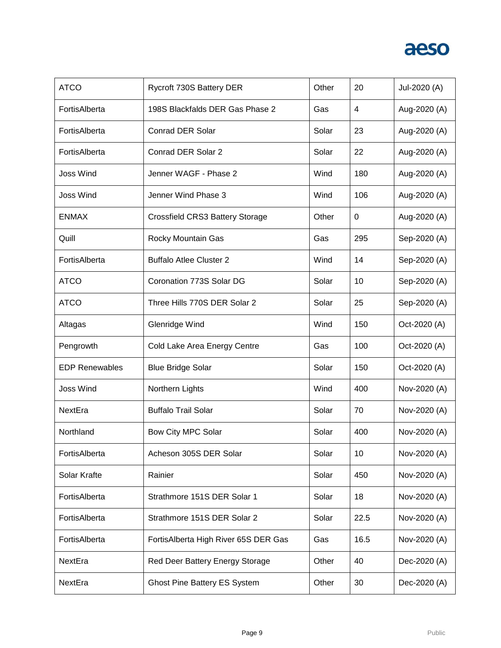| <b>ATCO</b>           | Rycroft 730S Battery DER             | Other | 20   | Jul-2020 (A) |
|-----------------------|--------------------------------------|-------|------|--------------|
| FortisAlberta         | 198S Blackfalds DER Gas Phase 2      | Gas   | 4    | Aug-2020 (A) |
| FortisAlberta         | <b>Conrad DER Solar</b>              | Solar | 23   | Aug-2020 (A) |
| FortisAlberta         | Conrad DER Solar 2                   | Solar | 22   | Aug-2020 (A) |
| <b>Joss Wind</b>      | Jenner WAGF - Phase 2                | Wind  | 180  | Aug-2020 (A) |
| <b>Joss Wind</b>      | Jenner Wind Phase 3                  | Wind  | 106  | Aug-2020 (A) |
| <b>ENMAX</b>          | Crossfield CRS3 Battery Storage      | Other | 0    | Aug-2020 (A) |
| Quill                 | Rocky Mountain Gas                   | Gas   | 295  | Sep-2020 (A) |
| FortisAlberta         | <b>Buffalo Atlee Cluster 2</b>       | Wind  | 14   | Sep-2020 (A) |
| <b>ATCO</b>           | Coronation 773S Solar DG             | Solar | 10   | Sep-2020 (A) |
| <b>ATCO</b>           | Three Hills 770S DER Solar 2         | Solar | 25   | Sep-2020 (A) |
| Altagas               | Glenridge Wind                       | Wind  | 150  | Oct-2020 (A) |
| Pengrowth             | Cold Lake Area Energy Centre         | Gas   | 100  | Oct-2020 (A) |
| <b>EDP Renewables</b> | <b>Blue Bridge Solar</b>             | Solar | 150  | Oct-2020 (A) |
| <b>Joss Wind</b>      | Northern Lights                      | Wind  | 400  | Nov-2020 (A) |
| NextEra               | <b>Buffalo Trail Solar</b>           | Solar | 70   | Nov-2020 (A) |
| Northland             | Bow City MPC Solar                   | Solar | 400  | Nov-2020 (A) |
| FortisAlberta         | Acheson 305S DER Solar               | Solar | 10   | Nov-2020 (A) |
| Solar Krafte          | Rainier                              | Solar | 450  | Nov-2020 (A) |
| FortisAlberta         | Strathmore 151S DER Solar 1          | Solar | 18   | Nov-2020 (A) |
| FortisAlberta         | Strathmore 151S DER Solar 2          | Solar | 22.5 | Nov-2020 (A) |
| FortisAlberta         | FortisAlberta High River 65S DER Gas | Gas   | 16.5 | Nov-2020 (A) |
| NextEra               | Red Deer Battery Energy Storage      | Other | 40   | Dec-2020 (A) |
| NextEra               | <b>Ghost Pine Battery ES System</b>  | Other | 30   | Dec-2020 (A) |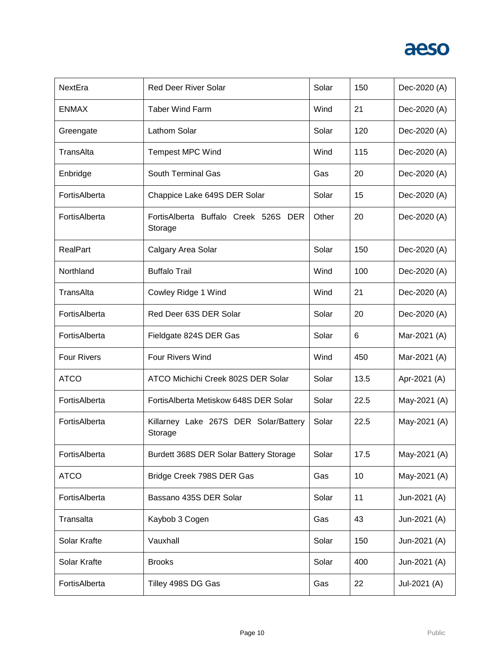| NextEra            | <b>Red Deer River Solar</b>                      | Solar | 150  | Dec-2020 (A) |
|--------------------|--------------------------------------------------|-------|------|--------------|
| <b>ENMAX</b>       | <b>Taber Wind Farm</b>                           | Wind  | 21   | Dec-2020 (A) |
| Greengate          | Lathom Solar                                     | Solar | 120  | Dec-2020 (A) |
| TransAlta          | <b>Tempest MPC Wind</b>                          | Wind  | 115  | Dec-2020 (A) |
| Enbridge           | <b>South Terminal Gas</b>                        | Gas   | 20   | Dec-2020 (A) |
| FortisAlberta      | Chappice Lake 649S DER Solar                     | Solar | 15   | Dec-2020 (A) |
| FortisAlberta      | FortisAlberta Buffalo Creek 526S DER<br>Storage  | Other | 20   | Dec-2020 (A) |
| RealPart           | Calgary Area Solar                               | Solar | 150  | Dec-2020 (A) |
| Northland          | <b>Buffalo Trail</b>                             | Wind  | 100  | Dec-2020 (A) |
| TransAlta          | Cowley Ridge 1 Wind                              | Wind  | 21   | Dec-2020 (A) |
| FortisAlberta      | Red Deer 63S DER Solar                           | Solar | 20   | Dec-2020 (A) |
| FortisAlberta      | Fieldgate 824S DER Gas                           | Solar | 6    | Mar-2021 (A) |
| <b>Four Rivers</b> | <b>Four Rivers Wind</b>                          | Wind  | 450  | Mar-2021 (A) |
| <b>ATCO</b>        | ATCO Michichi Creek 802S DER Solar               | Solar | 13.5 | Apr-2021 (A) |
| FortisAlberta      | Fortis Alberta Metiskow 648S DER Solar           | Solar | 22.5 | May-2021 (A) |
| FortisAlberta      | Killarney Lake 267S DER Solar/Battery<br>Storage | Solar | 22.5 | May-2021 (A) |
| FortisAlberta      | Burdett 368S DER Solar Battery Storage           | Solar | 17.5 | May-2021 (A) |
| <b>ATCO</b>        | Bridge Creek 798S DER Gas                        | Gas   | 10   | May-2021 (A) |
| FortisAlberta      | Bassano 435S DER Solar                           | Solar | 11   | Jun-2021 (A) |
| Transalta          | Kaybob 3 Cogen                                   | Gas   | 43   | Jun-2021 (A) |
| Solar Krafte       | Vauxhall                                         | Solar | 150  | Jun-2021 (A) |
| Solar Krafte       | <b>Brooks</b>                                    | Solar | 400  | Jun-2021 (A) |
| FortisAlberta      | Tilley 498S DG Gas                               | Gas   | 22   | Jul-2021 (A) |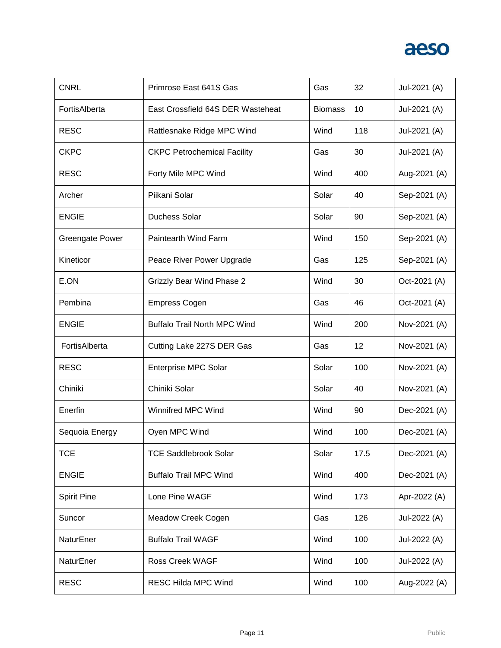| <b>CNRL</b>            | Primrose East 641S Gas              | Gas            | 32   | Jul-2021 (A) |
|------------------------|-------------------------------------|----------------|------|--------------|
| FortisAlberta          | East Crossfield 64S DER Wasteheat   | <b>Biomass</b> | 10   | Jul-2021 (A) |
| <b>RESC</b>            | Rattlesnake Ridge MPC Wind          | Wind           | 118  | Jul-2021 (A) |
| <b>CKPC</b>            | <b>CKPC Petrochemical Facility</b>  | Gas            | 30   | Jul-2021 (A) |
| <b>RESC</b>            | Forty Mile MPC Wind                 | Wind           | 400  | Aug-2021 (A) |
| Archer                 | Piikani Solar                       | Solar          | 40   | Sep-2021 (A) |
| <b>ENGIE</b>           | <b>Duchess Solar</b>                | Solar          | 90   | Sep-2021 (A) |
| <b>Greengate Power</b> | Paintearth Wind Farm                | Wind           | 150  | Sep-2021 (A) |
| Kineticor              | Peace River Power Upgrade           | Gas            | 125  | Sep-2021 (A) |
| E.ON                   | <b>Grizzly Bear Wind Phase 2</b>    | Wind           | 30   | Oct-2021 (A) |
| Pembina                | <b>Empress Cogen</b>                | Gas            | 46   | Oct-2021 (A) |
| <b>ENGIE</b>           | <b>Buffalo Trail North MPC Wind</b> | Wind           | 200  | Nov-2021 (A) |
| FortisAlberta          | Cutting Lake 227S DER Gas           | Gas            | 12   | Nov-2021 (A) |
| <b>RESC</b>            | <b>Enterprise MPC Solar</b>         | Solar          | 100  | Nov-2021 (A) |
| Chiniki                | Chiniki Solar                       | Solar          | 40   | Nov-2021 (A) |
| Enerfin                | <b>Winnifred MPC Wind</b>           | Wind           | 90   | Dec-2021 (A) |
| Sequoia Energy         | Oyen MPC Wind                       | Wind           | 100  | Dec-2021 (A) |
| <b>TCE</b>             | <b>TCE Saddlebrook Solar</b>        | Solar          | 17.5 | Dec-2021 (A) |
| <b>ENGIE</b>           | <b>Buffalo Trail MPC Wind</b>       | Wind           | 400  | Dec-2021 (A) |
| <b>Spirit Pine</b>     | Lone Pine WAGF                      | Wind           | 173  | Apr-2022 (A) |
| Suncor                 | Meadow Creek Cogen                  | Gas            | 126  | Jul-2022 (A) |
| NaturEner              | <b>Buffalo Trail WAGF</b>           | Wind           | 100  | Jul-2022 (A) |
| NaturEner              | <b>Ross Creek WAGF</b>              | Wind           | 100  | Jul-2022 (A) |
| <b>RESC</b>            | <b>RESC Hilda MPC Wind</b>          | Wind           | 100  | Aug-2022 (A) |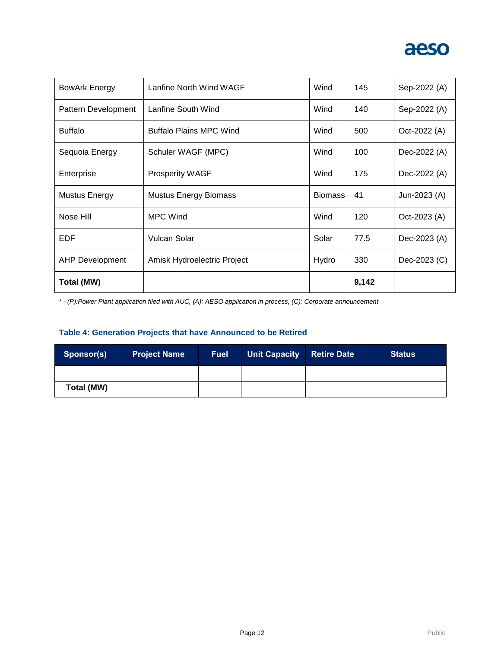

| BowArk Energy          | Lanfine North Wind WAGF        | Wind           | 145   | Sep-2022 (A) |
|------------------------|--------------------------------|----------------|-------|--------------|
| Pattern Development    | Lanfine South Wind             | Wind           | 140   | Sep-2022 (A) |
| <b>Buffalo</b>         | <b>Buffalo Plains MPC Wind</b> | Wind           | 500   | Oct-2022 (A) |
| Sequoia Energy         | Schuler WAGF (MPC)             | Wind           | 100   | Dec-2022 (A) |
| Enterprise             | Prosperity WAGF                | Wind           | 175   | Dec-2022 (A) |
| <b>Mustus Energy</b>   | <b>Mustus Energy Biomass</b>   | <b>Biomass</b> | 41    | Jun-2023 (A) |
| Nose Hill              | <b>MPC Wind</b>                | Wind           | 120   | Oct-2023 (A) |
| EDF                    | <b>Vulcan Solar</b>            | Solar          | 77.5  | Dec-2023 (A) |
| <b>AHP Development</b> | Amisk Hydroelectric Project    | Hydro          | 330   | Dec-2023 (C) |
| Total (MW)             |                                |                | 9,142 |              |

*\* - (P):Power Plant application filed with AUC, (A): AESO application in process, (C): Corporate announcement*

### **Table 4: Generation Projects that have Announced to be Retired**

| Sponsor(s) | <b>Project Name</b> | <b>Fuel</b> | <b>Unit Capacity</b> | <b>Retire Date</b> | <b>Status</b> |
|------------|---------------------|-------------|----------------------|--------------------|---------------|
|            |                     |             |                      |                    |               |
| Total (MW) |                     |             |                      |                    |               |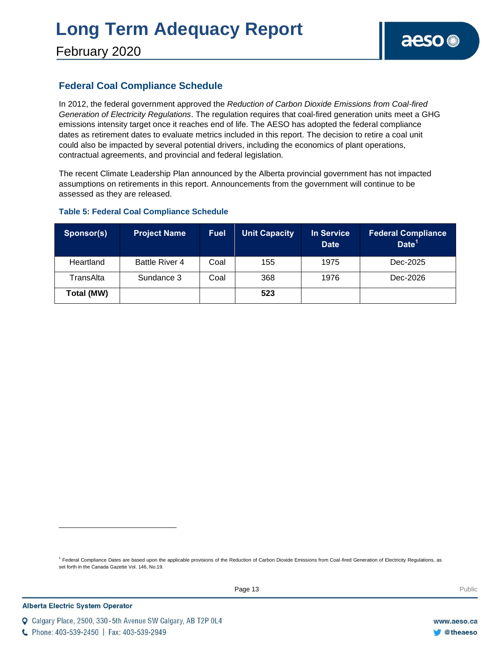February 2020

### **Federal Coal Compliance Schedule**

In 2012, the federal government approved the *Reduction of Carbon Dioxide Emissions from Coal-fired Generation of Electricity Regulations*. The regulation requires that coal-fired generation units meet a GHG emissions intensity target once it reaches end of life. The AESO has adopted the federal compliance dates as retirement dates to evaluate metrics included in this report. The decision to retire a coal unit could also be impacted by several potential drivers, including the economics of plant operations, contractual agreements, and provincial and federal legislation.

The recent Climate Leadership Plan announced by the Alberta provincial government has not impacted assumptions on retirements in this report. Announcements from the government will continue to be assessed as they are released.

### **Table 5: Federal Coal Compliance Schedule**

| Sponsor(s) | <b>Project Name</b> | <b>Fuel</b> | <b>Unit Capacity</b> | <b>In Service</b><br><b>Date</b> | <b>Federal Compliance</b><br>Date <sup>1</sup> |
|------------|---------------------|-------------|----------------------|----------------------------------|------------------------------------------------|
| Heartland  | Battle River 4      | Coal        | 155                  | 1975                             | Dec-2025                                       |
| TransAlta  | Sundance 3          | Coal        | 368                  | 1976                             | Dec-2026                                       |
| Total (MW) |                     |             | 523                  |                                  |                                                |

<sup>1</sup> Federal Compliance Dates are based upon the applicable provisions of the Reduction of Carbon Dioxide Emissions from Coal-fired Generation of Electricity Regulations, as set forth in the Canada Gazette Vol. 146, No.19.

C Phone: 403-539-2450 | Fax: 403-539-2949

Q Calgary Place, 2500, 330-5th Avenue SW Calgary, AB T2P 0L4

l

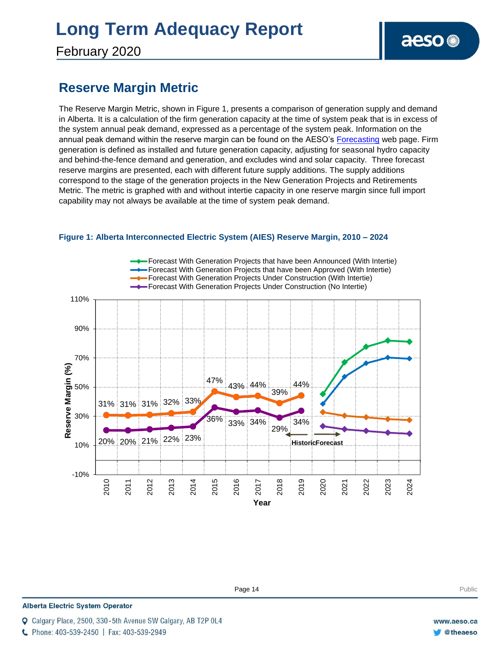February 2020

### **Reserve Margin Metric**

The Reserve Margin Metric, shown in Figure 1, presents a comparison of generation supply and demand in Alberta. It is a calculation of the firm generation capacity at the time of system peak that is in excess of the system annual peak demand, expressed as a percentage of the system peak. Information on the annual peak demand within the reserve margin can be found on the AESO's [Forecasting](https://www.aeso.ca/grid/forecasting) web page. Firm generation is defined as installed and future generation capacity, adjusting for seasonal hydro capacity and behind-the-fence demand and generation, and excludes wind and solar capacity. Three forecast reserve margins are presented, each with different future supply additions. The supply additions correspond to the stage of the generation projects in the New Generation Projects and Retirements Metric. The metric is graphed with and without intertie capacity in one reserve margin since full import capability may not always be available at the time of system peak demand.



**Enter Football Page 14** Public Public Public Public Public Public Public Public Public Public Public Public Public Public Public Public Public Public Public Public Public Public Public Public Public Public Public Public P

#### **Figure 1: Alberta Interconnected Electric System (AIES) Reserve Margin, 2010 – 2024**

**Alberta Electric System Operator** 

C Phone: 403-539-2450 | Fax: 403-539-2949

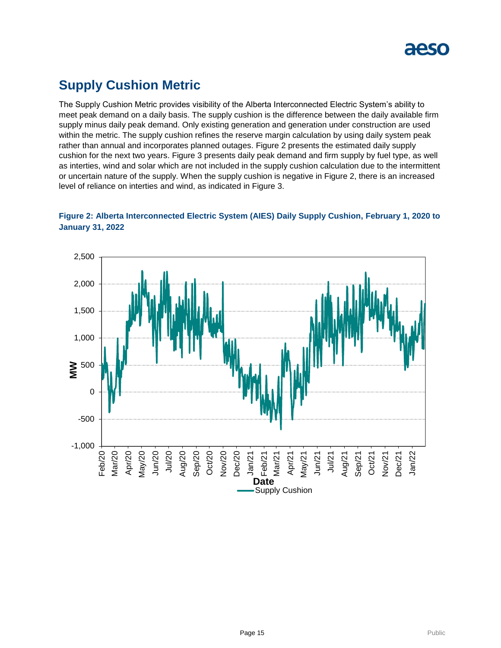

### **Supply Cushion Metric**

The Supply Cushion Metric provides visibility of the Alberta Interconnected Electric System's ability to meet peak demand on a daily basis. The supply cushion is the difference between the daily available firm supply minus daily peak demand. Only existing generation and generation under construction are used within the metric. The supply cushion refines the reserve margin calculation by using daily system peak rather than annual and incorporates planned outages. Figure 2 presents the estimated daily supply cushion for the next two years. Figure 3 presents daily peak demand and firm supply by fuel type, as well as interties, wind and solar which are not included in the supply cushion calculation due to the intermittent or uncertain nature of the supply. When the supply cushion is negative in Figure 2, there is an increased level of reliance on interties and wind, as indicated in Figure 3.



### **Figure 2: Alberta Interconnected Electric System (AIES) Daily Supply Cushion, February 1, 2020 to January 31, 2022**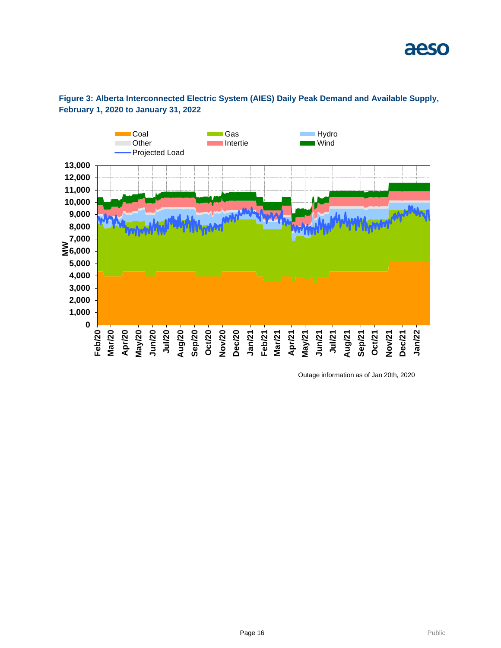



Outage information as of Jan 20th, 2020